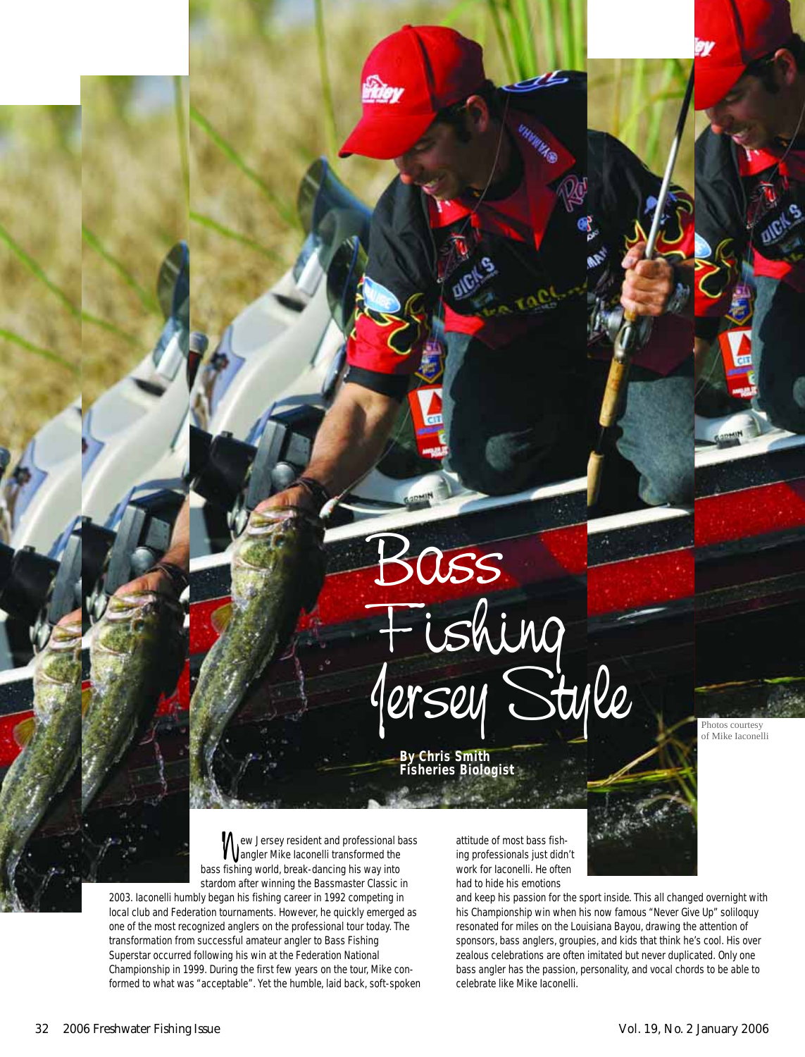

**By Chris Smith Fisheries Biologist** Photos courtesy of Mike Iaconelli

we Jersey resident and professional bass<br>angler Mike laconelli transformed the<br>fishing world, break-dancing his way into angler Mike Iaconelli transformed the bass fishing world, break-dancing his way into stardom after winning the Bassmaster Classic in

2003. Iaconelli humbly began his fishing career in 1992 competing in local club and Federation tournaments. However, he quickly emerged as one of the most recognized anglers on the professional tour today. The transformation from successful amateur angler to Bass Fishing Superstar occurred following his win at the Federation National Championship in 1999. During the first few years on the tour, Mike conformed to what was "acceptable". Yet the humble, laid back, soft-spoken attitude of most bass fishing professionals just didn't work for Iaconelli. He often had to hide his emotions

and keep his passion for the sport inside. This all changed overnight with his Championship win when his now famous "Never Give Up" soliloquy resonated for miles on the Louisiana Bayou, drawing the attention of sponsors, bass anglers, groupies, and kids that think he's cool. His over zealous celebrations are often imitated but never duplicated. Only one bass angler has the passion, personality, and vocal chords to be able to celebrate like Mike Iaconelli.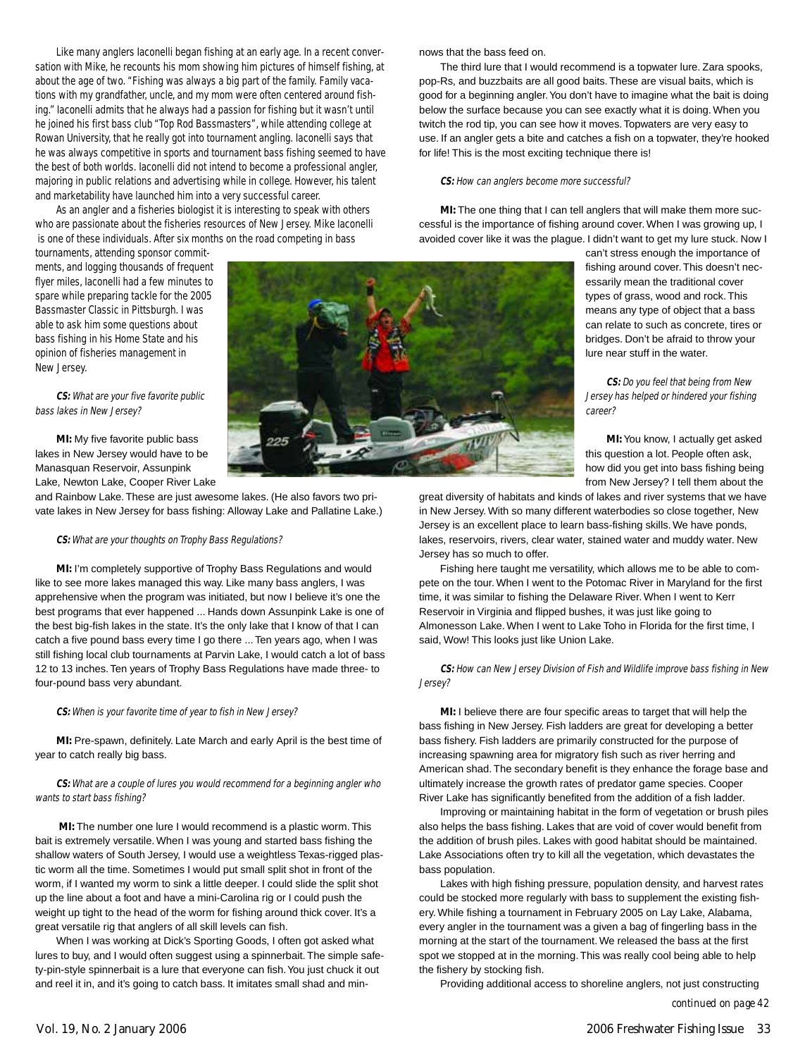Like many anglers Iaconelli began fishing at an early age. In a recent conversation with Mike, he recounts his mom showing him pictures of himself fishing, at about the age of two. "Fishing was always a big part of the family. Family vacations with my grandfather, uncle, and my mom were often centered around fishing." Iaconelli admits that he always had a passion for fishing but it wasn't until he joined his first bass club "Top Rod Bassmasters", while attending college at Rowan University, that he really got into tournament angling. Iaconelli says that he was always competitive in sports and tournament bass fishing seemed to have the best of both worlds. Iaconelli did not intend to become a professional angler, majoring in public relations and advertising while in college. However, his talent and marketability have launched him into a very successful career.

As an angler and a fisheries biologist it is interesting to speak with others who are passionate about the fisheries resources of New Jersey. Mike Iaconelli is one of these individuals. After six months on the road competing in bass

tournaments, attending sponsor commitments, and logging thousands of frequent flyer miles, Iaconelli had a few minutes to spare while preparing tackle for the 2005 Bassmaster Classic in Pittsburgh. I was able to ask him some questions about bass fishing in his Home State and his opinion of fisheries management in New Jersey.



# **CS:** What are your five favorite public bass lakes in New Jersey?

**MI:** My five favorite public bass lakes in New Jersey would have to be Manasquan Reservoir, Assunpink Lake, Newton Lake, Cooper River Lake

and Rainbow Lake. These are just awesome lakes. (He also favors two private lakes in New Jersey for bass fishing: Alloway Lake and Pallatine Lake.)

### **CS:** What are your thoughts on Trophy Bass Regulations?

**MI:** I'm completely supportive of Trophy Bass Regulations and would like to see more lakes managed this way. Like many bass anglers, I was apprehensive when the program was initiated, but now I believe it's one the best programs that ever happened ... Hands down Assunpink Lake is one of the best big-fish lakes in the state. It's the only lake that I know of that I can catch a five pound bass every time I go there ... Ten years ago, when I was still fishing local club tournaments at Parvin Lake, I would catch a lot of bass 12 to 13 inches. Ten years of Trophy Bass Regulations have made three- to four-pound bass very abundant.

## **CS:** When is your favorite time of year to fish in New Jersey?

**MI:** Pre-spawn, definitely. Late March and early April is the best time of year to catch really big bass.

**CS:** What are a couple of lures you would recommend for a beginning angler who wants to start bass fishing?

**MI:** The number one lure I would recommend is a plastic worm. This bait is extremely versatile. When I was young and started bass fishing the shallow waters of South Jersey, I would use a weightless Texas-rigged plastic worm all the time. Sometimes I would put small split shot in front of the worm, if I wanted my worm to sink a little deeper. I could slide the split shot up the line about a foot and have a mini-Carolina rig or I could push the weight up tight to the head of the worm for fishing around thick cover. It's a great versatile rig that anglers of all skill levels can fish.

When I was working at Dick's Sporting Goods, I often got asked what lures to buy, and I would often suggest using a spinnerbait. The simple safety-pin-style spinnerbait is a lure that everyone can fish.You just chuck it out and reel it in, and it's going to catch bass. It imitates small shad and minnows that the bass feed on.

The third lure that I would recommend is a topwater lure. Zara spooks, pop-Rs, and buzzbaits are all good baits. These are visual baits, which is good for a beginning angler.You don't have to imagine what the bait is doing below the surface because you can see exactly what it is doing. When you twitch the rod tip, you can see how it moves. Topwaters are very easy to use. If an angler gets a bite and catches a fish on a topwater, they're hooked for life! This is the most exciting technique there is!

#### **CS:** How can anglers become more successful?

**MI:** The one thing that I can tell anglers that will make them more successful is the importance of fishing around cover. When I was growing up, I avoided cover like it was the plague. I didn't want to get my lure stuck. Now I

can't stress enough the importance of fishing around cover. This doesn't necessarily mean the traditional cover types of grass, wood and rock. This means any type of object that a bass can relate to such as concrete, tires or bridges. Don't be afraid to throw your lure near stuff in the water.

**CS:** Do you feel that being from New Jersey has helped or hindered your fishing career?

**MI:** You know, I actually get asked this question a lot. People often ask, how did you get into bass fishing being from New Jersey? I tell them about the

great diversity of habitats and kinds of lakes and river systems that we have in New Jersey. With so many different waterbodies so close together, New Jersey is an excellent place to learn bass-fishing skills. We have ponds, lakes, reservoirs, rivers, clear water, stained water and muddy water. New Jersey has so much to offer.

Fishing here taught me versatility, which allows me to be able to compete on the tour. When I went to the Potomac River in Maryland for the first time, it was similar to fishing the Delaware River. When I went to Kerr Reservoir in Virginia and flipped bushes, it was just like going to Almonesson Lake. When I went to Lake Toho in Florida for the first time, I said, Wow! This looks just like Union Lake.

**CS:** How can New Jersey Division of Fish and Wildlife improve bass fishing in New Jersey?

**MI:** I believe there are four specific areas to target that will help the bass fishing in New Jersey. Fish ladders are great for developing a better bass fishery. Fish ladders are primarily constructed for the purpose of increasing spawning area for migratory fish such as river herring and American shad. The secondary benefit is they enhance the forage base and ultimately increase the growth rates of predator game species. Cooper River Lake has significantly benefited from the addition of a fish ladder.

Improving or maintaining habitat in the form of vegetation or brush piles also helps the bass fishing. Lakes that are void of cover would benefit from the addition of brush piles. Lakes with good habitat should be maintained. Lake Associations often try to kill all the vegetation, which devastates the bass population.

Lakes with high fishing pressure, population density, and harvest rates could be stocked more regularly with bass to supplement the existing fishery. While fishing a tournament in February 2005 on Lay Lake, Alabama, every angler in the tournament was a given a bag of fingerling bass in the morning at the start of the tournament. We released the bass at the first spot we stopped at in the morning. This was really cool being able to help the fishery by stocking fish.

Providing additional access to shoreline anglers, not just constructing *continued on page 42*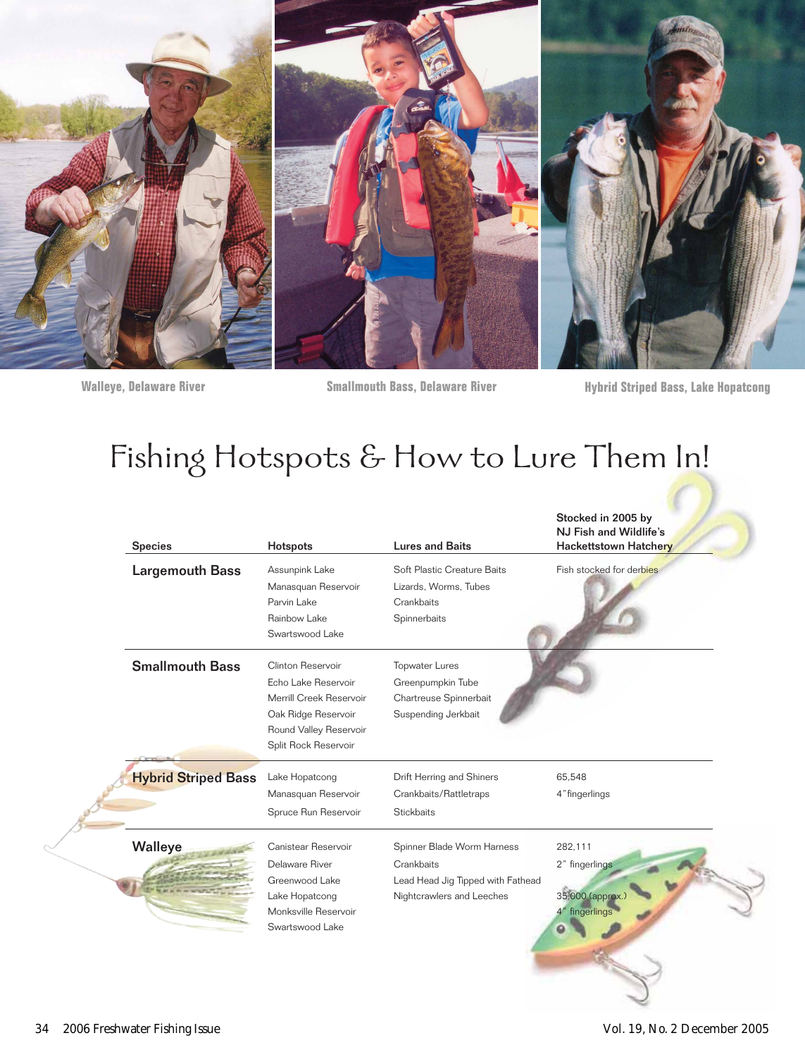

**Walleye, Delaware River** 

**Smallmouth Bass, Delaware River** 

**Hybrid Striped Bass, Lake Hopatcong** 

Stocked in 2005 by

# Fishing Hotspots & How to Lure Them In!

| <b>Species</b>             | Hotspots                                                                                                                                     | <b>Lures and Baits</b>                                                                                     | NJ Fish and Wildlife's<br><b>Hackettstown Hatchery</b>          |
|----------------------------|----------------------------------------------------------------------------------------------------------------------------------------------|------------------------------------------------------------------------------------------------------------|-----------------------------------------------------------------|
| <b>Largemouth Bass</b>     | Assunpink Lake<br>Manasquan Reservoir<br>Parvin Lake<br>Rainbow Lake<br>Swartswood Lake                                                      | Soft Plastic Creature Baits<br>Lizards, Worms, Tubes<br>Crankbaits<br>Spinnerbaits                         | Fish stocked for derbies                                        |
| <b>Smallmouth Bass</b>     | Clinton Reservoir<br>Echo Lake Reservoir<br>Merrill Creek Reservoir<br>Oak Ridge Reservoir<br>Round Valley Reservoir<br>Split Rock Reservoir | <b>Topwater Lures</b><br>Greenpumpkin Tube<br>Chartreuse Spinnerbait<br>Suspending Jerkbait                |                                                                 |
| <b>Hybrid Striped Bass</b> | Lake Hopatcong<br>Manasquan Reservoir<br>Spruce Run Reservoir                                                                                | Drift Herring and Shiners<br>Crankbaits/Rattletraps<br><b>Stickbaits</b>                                   | 65,548<br>4" fingerlings                                        |
| Walleye                    | Canistear Reservoir<br>Delaware River<br>Greenwood Lake<br>Lake Hopatcong<br>Monksville Reservoir<br>Swartswood Lake                         | Spinner Blade Worm Harness<br>Crankbaits<br>Lead Head Jig Tipped with Fathead<br>Nightcrawlers and Leeches | 282,111<br>2" fingerlings<br>35,000 (approx.)<br>4" fingerlings |